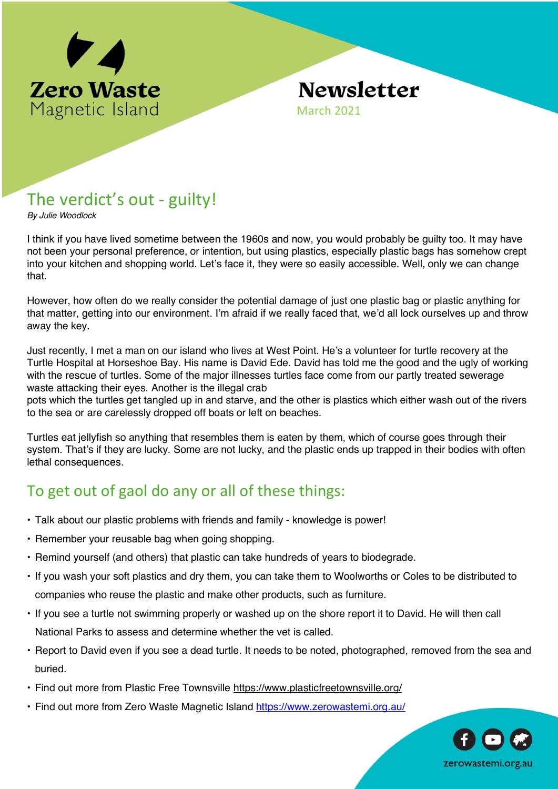

# **Newsletter**

March 2021

## The verdict's out - guilty!

*By Julie Woodlock*

I think if you have lived sometime between the 1960s and now, you would probably be guilty too. It may have not been your personal preference, or intention, but using plastics, especially plastic bags has somehow crept into your kitchen and shopping world. Let's face it, they were so easily accessible. Well, only we can change that.

However, how often do we really consider the potential damage of just one plastic bag or plastic anything for that matter, getting into our environment. I'm afraid if we really faced that, we'd all lock ourselves up and throw away the key.

Just recently, I met a man on our island who lives at West Point. He's a volunteer for turtle recovery at the Turtle Hospital at Horseshoe Bay. His name is David Ede. David has told me the good and the ugly of working with the rescue of turtles. Some of the major illnesses turtles face come from our partly treated sewerage waste attacking their eyes. Another is the illegal crab

pots which the turtles get tangled up in and starve, and the other is plastics which either wash out of the rivers to the sea or are carelessly dropped off boats or left on beaches.

Turtles eat jellyfish so anything that resembles them is eaten by them, which of course goes through their system. That's if they are lucky. Some are not lucky, and the plastic ends up trapped in their bodies with often lethal consequences.

## To get out of gaol do any or all of these things:

- Talk about our plastic problems with friends and family knowledge is power!
- Remember your reusable bag when going shopping.
- Remind yourself (and others) that plastic can take hundreds of years to biodegrade.
- If you wash your soft plastics and dry them, you can take them to Woolworths or Coles to be distributed to companies who reuse the plastic and make other products, such as furniture.
- If you see a turtle not swimming properly or washed up on the shore report it to David. He will then call National Parks to assess and determine whether the vet is called.
- Report to David even if you see a dead turtle. It needs to be noted, photographed, removed from the sea and buried.
- Find out more from Plastic Free Townsville https://www.plasticfreetownsville.org/
- Find out more from Zero Waste Magnetic Island https://www.zerowastemi.org.au/